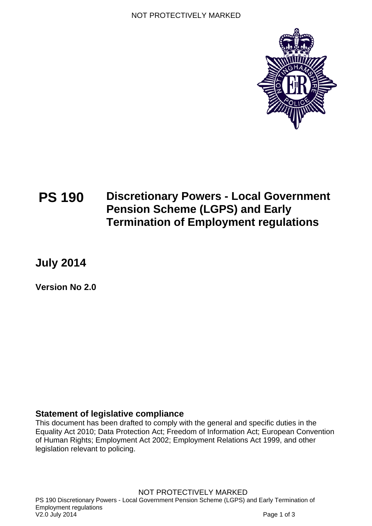

# **PS 190 Discretionary Powers - Local Government Pension Scheme (LGPS) and Early Termination of Employment regulations**

**July 2014** 

**Version No 2.0** 

### **Statement of legislative compliance**

This document has been drafted to comply with the general and specific duties in the Equality Act 2010; Data Protection Act; Freedom of Information Act; European Convention of Human Rights; Employment Act 2002; Employment Relations Act 1999, and other legislation relevant to policing.

NOT PROTECTIVELY MARKED PS 190 Discretionary Powers - Local Government Pension Scheme (LGPS) and Early Termination of Employment regulations and the contract of the contract of the CD state of the V2.0 July 2014 Page 1 of 3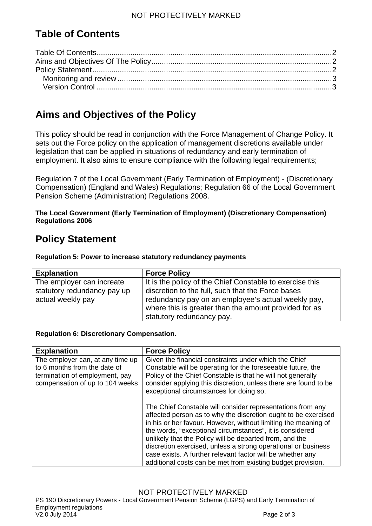## **Table of Contents**

## <span id="page-1-1"></span>**Aims and Objectives of the Policy**

This policy should be read in conjunction with the Force Management of Change Policy. It sets out the Force policy on the application of management discretions available under legislation that can be applied in situations of redundancy and early termination of employment. It also aims to ensure compliance with the following legal requirements;

Regulation 7 of the Local Government (Early Termination of Employment) - (Discretionary Compensation) (England and Wales) Regulations; Regulation 66 of the Local Government Pension Scheme (Administration) Regulations 2008.

#### **The Local Government (Early Termination of Employment) (Discretionary Compensation) Regulations 2006**

## <span id="page-1-2"></span>**Policy Statement**

**Regulation 5: Power to increase statutory redundancy payments** 

| <b>Explanation</b>          | <b>Force Policy</b>                                      |
|-----------------------------|----------------------------------------------------------|
| The employer can increate   | It is the policy of the Chief Constable to exercise this |
| statutory redundancy pay up | discretion to the full, such that the Force bases        |
| actual weekly pay           | redundancy pay on an employee's actual weekly pay,       |
|                             | where this is greater than the amount provided for as    |
|                             | statutory redundancy pay.                                |

#### **Regulation 6: Discretionary Compensation.**

| <b>Explanation</b>                                                                                 | <b>Force Policy</b>                                                                                                                                                                                                                                                                                                                                                                                                                                                                                                 |
|----------------------------------------------------------------------------------------------------|---------------------------------------------------------------------------------------------------------------------------------------------------------------------------------------------------------------------------------------------------------------------------------------------------------------------------------------------------------------------------------------------------------------------------------------------------------------------------------------------------------------------|
| The employer can, at any time up<br>to 6 months from the date of<br>termination of employment, pay | Given the financial constraints under which the Chief<br>Constable will be operating for the foreseeable future, the<br>Policy of the Chief Constable is that he will not generally                                                                                                                                                                                                                                                                                                                                 |
| compensation of up to 104 weeks                                                                    | consider applying this discretion, unless there are found to be<br>exceptional circumstances for doing so.                                                                                                                                                                                                                                                                                                                                                                                                          |
|                                                                                                    | The Chief Constable will consider representations from any<br>affected person as to why the discretion ought to be exercised<br>in his or her favour. However, without limiting the meaning of<br>the words, "exceptional circumstances", it is considered<br>unlikely that the Policy will be departed from, and the<br>discretion exercised, unless a strong operational or business<br>case exists. A further relevant factor will be whether any<br>additional costs can be met from existing budget provision. |

<span id="page-1-0"></span>PS 190 Discretionary Powers - Local Government Pension Scheme (LGPS) and Early Termination of Employment regulations<br>V2.0 July 2014 Page 2 of 3